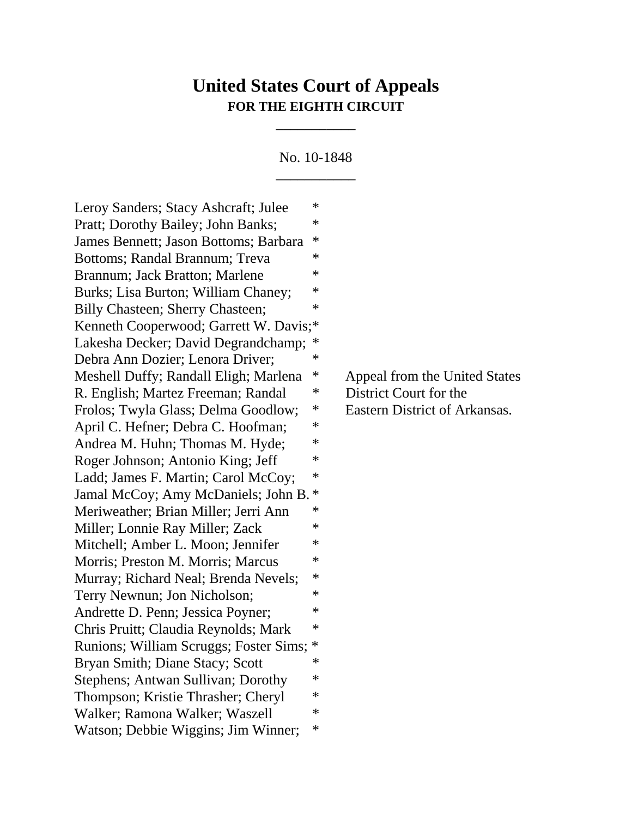## **United States Court of Appeals FOR THE EIGHTH CIRCUIT**

\_\_\_\_\_\_\_\_\_\_\_

No. 10-1848 \_\_\_\_\_\_\_\_\_\_\_

Leroy Sanders; Stacy Ashcraft; Julee  $*$ Pratt; Dorothy Bailey; John Banks;  $*$ James Bennett; Jason Bottoms; Barbara \* Bottoms; Randal Brannum; Treva \* Brannum; Jack Bratton; Marlene  $*$ Burks; Lisa Burton; William Chaney;  $*$ Billy Chasteen; Sherry Chasteen;  $*$ Kenneth Cooperwood; Garrett W. Davis;\* Lakesha Decker; David Degrandchamp; Debra Ann Dozier; Lenora Driver; \* Meshell Duffy; Randall Eligh; Marlena \* Appeal from the United States R. English; Martez Freeman; Randal \* District Court for the Frolos; Twyla Glass; Delma Goodlow; \* Eastern District of Arkansas. April C. Hefner; Debra C. Hoofman;  $*$ Andrea M. Huhn; Thomas M. Hyde; \* Roger Johnson; Antonio King; Jeff \* Ladd; James F. Martin; Carol McCoy;  $*$ Jamal McCoy; Amy McDaniels; John B. \* Meriweather; Brian Miller; Jerri Ann \* Miller; Lonnie Ray Miller; Zack \* Mitchell; Amber L. Moon; Jennifer  $*$ Morris; Preston M. Morris; Marcus \* Murray; Richard Neal; Brenda Nevels;  $*$ Terry Newnun; Jon Nicholson;  $*$ Andrette D. Penn; Jessica Poyner;  $*$ Chris Pruitt; Claudia Reynolds; Mark \* Runions; William Scruggs; Foster Sims; \* Bryan Smith; Diane Stacy; Scott  $*$ Stephens; Antwan Sullivan; Dorothy  $*$ Thompson; Kristie Thrasher; Cheryl \* Walker; Ramona Walker; Waszell \* Watson; Debbie Wiggins; Jim Winner; \*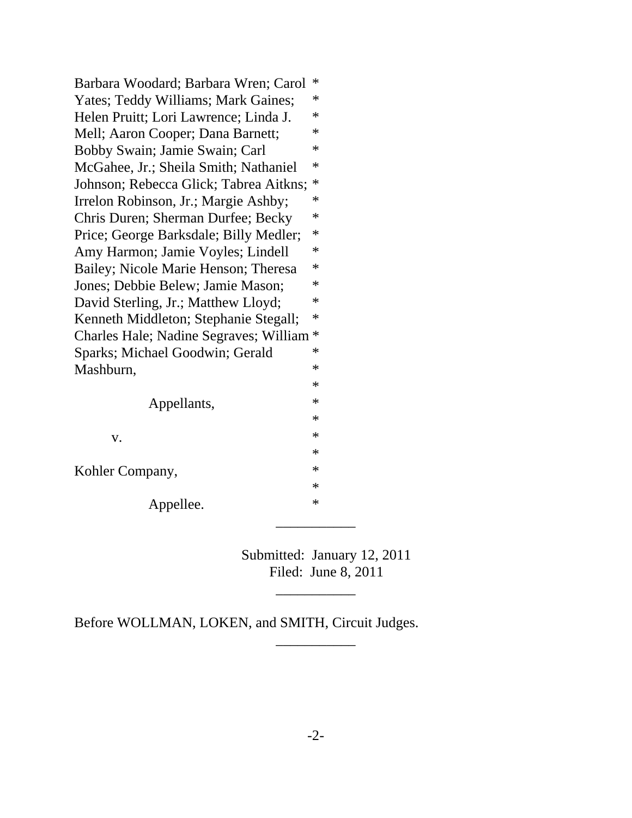| Barbara Woodard; Barbara Wren; Carol   | ∗      |
|----------------------------------------|--------|
| Yates; Teddy Williams; Mark Gaines;    | ∗      |
| Helen Pruitt; Lori Lawrence; Linda J.  | ∗      |
| Mell; Aaron Cooper; Dana Barnett;      | ∗      |
| Bobby Swain; Jamie Swain; Carl         | $\ast$ |
| McGahee, Jr.; Sheila Smith; Nathaniel  | ∗      |
| Johnson; Rebecca Glick; Tabrea Aitkns; | ∗      |
| Irrelon Robinson, Jr.; Margie Ashby;   | ∗      |
| Chris Duren; Sherman Durfee; Becky     | ∗      |
| Price; George Barksdale; Billy Medler; | ∗      |
| Amy Harmon; Jamie Voyles; Lindell      | ∗      |
| Bailey; Nicole Marie Henson; Theresa   | ∗      |
| Jones; Debbie Belew; Jamie Mason;      | ∗      |
| David Sterling, Jr.; Matthew Lloyd;    | ∗      |
| Kenneth Middleton; Stephanie Stegall;  | ∗      |
| Charles Hale; Nadine Segraves; William | $\ast$ |
| Sparks; Michael Goodwin; Gerald        | ∗      |
| Mashburn,                              | ∗      |
|                                        | ∗      |
| Appellants,                            | ∗      |
|                                        | ∗      |
| V.                                     | ∗      |
|                                        | ∗      |
| Kohler Company,                        | $\ast$ |
|                                        | ∗      |
| Appellee.                              | $\ast$ |

Submitted: January 12, 2011 Filed: June 8, 2011

 $\overline{\phantom{a}}$ 

\_\_\_\_\_\_\_\_\_\_\_

Before WOLLMAN, LOKEN, and SMITH, Circuit Judges.

\_\_\_\_\_\_\_\_\_\_\_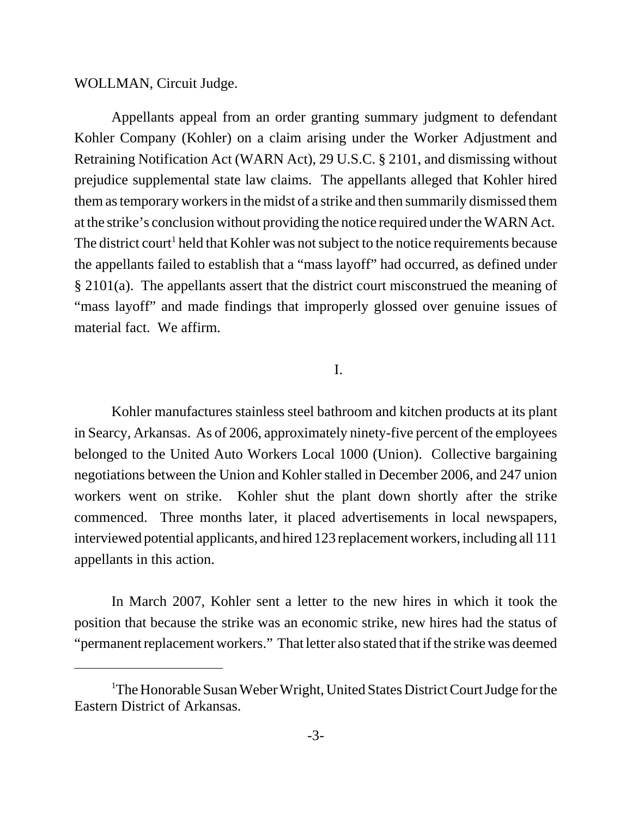WOLLMAN, Circuit Judge.

Appellants appeal from an order granting summary judgment to defendant Kohler Company (Kohler) on a claim arising under the Worker Adjustment and Retraining Notification Act (WARN Act), 29 U.S.C. § 2101, and dismissing without prejudice supplemental state law claims. The appellants alleged that Kohler hired them as temporary workers in the midst of a strike and then summarily dismissed them at the strike's conclusion without providing the notice required under the WARN Act. The district court<sup>1</sup> held that Kohler was not subject to the notice requirements because the appellants failed to establish that a "mass layoff" had occurred, as defined under § 2101(a). The appellants assert that the district court misconstrued the meaning of "mass layoff" and made findings that improperly glossed over genuine issues of material fact. We affirm.

## I.

Kohler manufactures stainless steel bathroom and kitchen products at its plant in Searcy, Arkansas. As of 2006, approximately ninety-five percent of the employees belonged to the United Auto Workers Local 1000 (Union). Collective bargaining negotiations between the Union and Kohler stalled in December 2006, and 247 union workers went on strike. Kohler shut the plant down shortly after the strike commenced. Three months later, it placed advertisements in local newspapers, interviewed potential applicants, and hired 123 replacement workers, including all 111 appellants in this action.

In March 2007, Kohler sent a letter to the new hires in which it took the position that because the strike was an economic strike, new hires had the status of "permanent replacement workers." That letter also stated that if the strike was deemed

<sup>&</sup>lt;sup>1</sup>The Honorable Susan Weber Wright, United States District Court Judge for the Eastern District of Arkansas.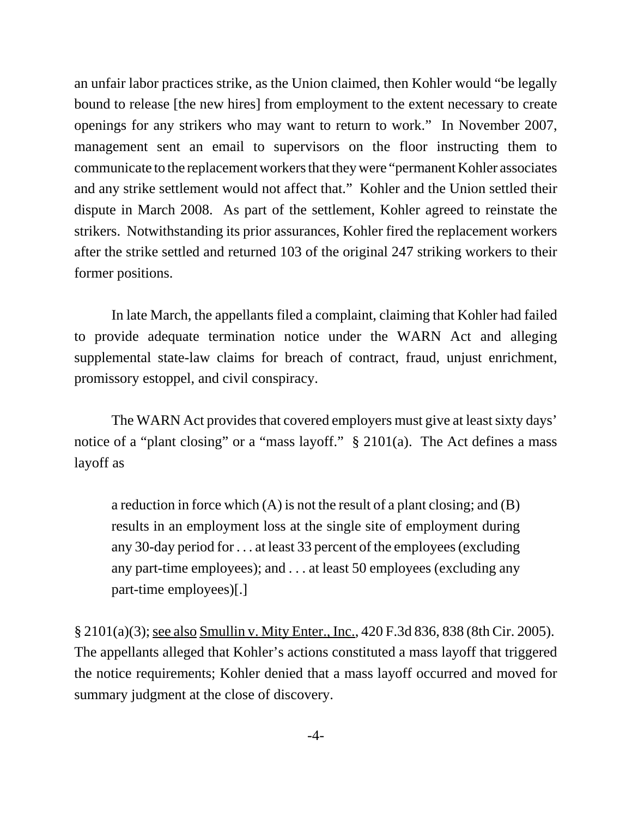an unfair labor practices strike, as the Union claimed, then Kohler would "be legally bound to release [the new hires] from employment to the extent necessary to create openings for any strikers who may want to return to work." In November 2007, management sent an email to supervisors on the floor instructing them to communicate to the replacement workers that they were "permanent Kohler associates and any strike settlement would not affect that." Kohler and the Union settled their dispute in March 2008. As part of the settlement, Kohler agreed to reinstate the strikers. Notwithstanding its prior assurances, Kohler fired the replacement workers after the strike settled and returned 103 of the original 247 striking workers to their former positions.

In late March, the appellants filed a complaint, claiming that Kohler had failed to provide adequate termination notice under the WARN Act and alleging supplemental state-law claims for breach of contract, fraud, unjust enrichment, promissory estoppel, and civil conspiracy.

The WARN Act provides that covered employers must give at least sixty days' notice of a "plant closing" or a "mass layoff." § 2101(a). The Act defines a mass layoff as

a reduction in force which (A) is not the result of a plant closing; and (B) results in an employment loss at the single site of employment during any 30-day period for . . . at least 33 percent of the employees (excluding any part-time employees); and . . . at least 50 employees (excluding any part-time employees)[.]

§ 2101(a)(3); see also Smullin v. Mity Enter., Inc., 420 F.3d 836, 838 (8th Cir. 2005). The appellants alleged that Kohler's actions constituted a mass layoff that triggered the notice requirements; Kohler denied that a mass layoff occurred and moved for summary judgment at the close of discovery.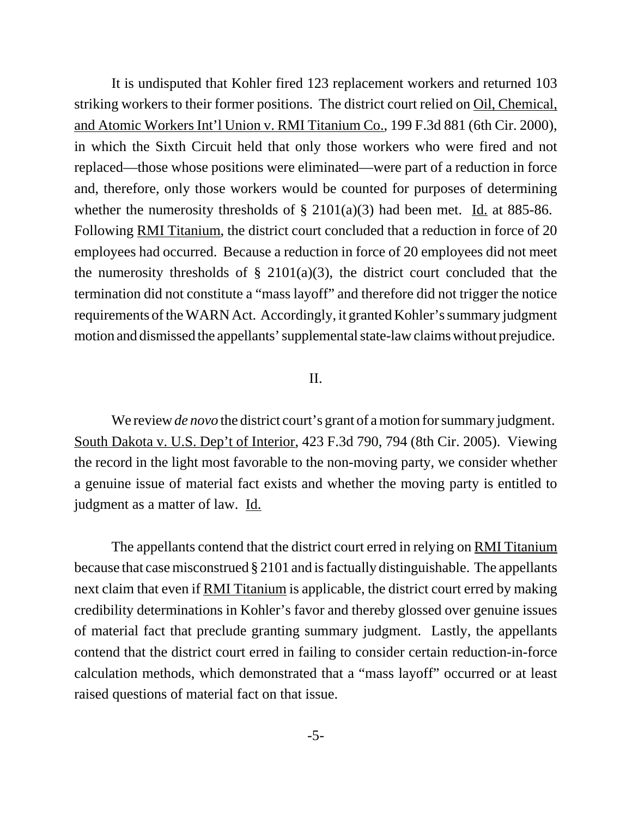It is undisputed that Kohler fired 123 replacement workers and returned 103 striking workers to their former positions. The district court relied on Oil, Chemical, and Atomic Workers Int'l Union v. RMI Titanium Co., 199 F.3d 881 (6th Cir. 2000), in which the Sixth Circuit held that only those workers who were fired and not replaced—those whose positions were eliminated—were part of a reduction in force and, therefore, only those workers would be counted for purposes of determining whether the numerosity thresholds of  $\S 2101(a)(3)$  had been met. Id. at 885-86. Following RMI Titanium, the district court concluded that a reduction in force of 20 employees had occurred. Because a reduction in force of 20 employees did not meet the numerosity thresholds of  $\S$  2101(a)(3), the district court concluded that the termination did not constitute a "mass layoff" and therefore did not trigger the notice requirements of the WARN Act. Accordingly, it granted Kohler's summary judgment motion and dismissed the appellants' supplemental state-law claims without prejudice.

## II.

We review *de novo* the district court's grant of a motion for summary judgment. South Dakota v. U.S. Dep't of Interior, 423 F.3d 790, 794 (8th Cir. 2005). Viewing the record in the light most favorable to the non-moving party, we consider whether a genuine issue of material fact exists and whether the moving party is entitled to judgment as a matter of law. Id.

The appellants contend that the district court erred in relying on RMI Titanium because that case misconstrued § 2101 and is factually distinguishable. The appellants next claim that even if RMI Titanium is applicable, the district court erred by making credibility determinations in Kohler's favor and thereby glossed over genuine issues of material fact that preclude granting summary judgment. Lastly, the appellants contend that the district court erred in failing to consider certain reduction-in-force calculation methods, which demonstrated that a "mass layoff" occurred or at least raised questions of material fact on that issue.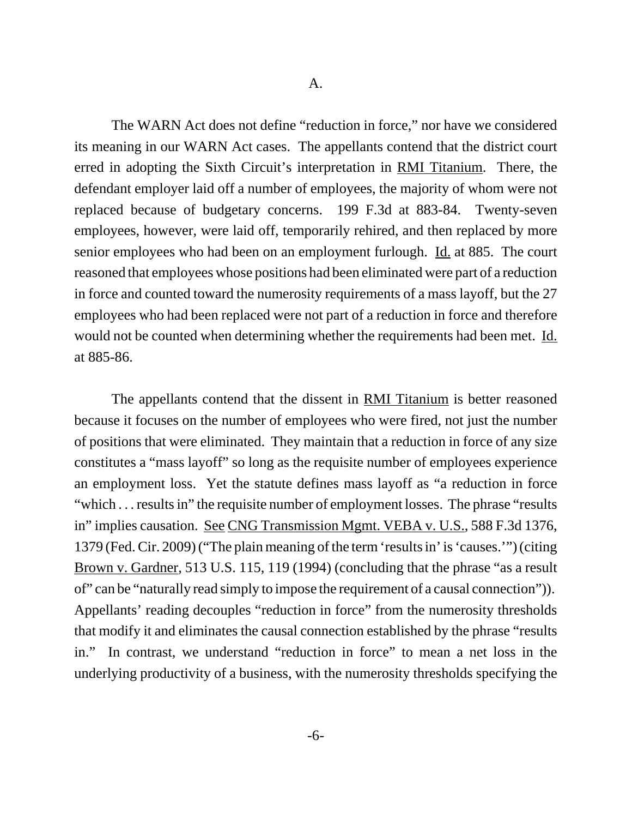The WARN Act does not define "reduction in force," nor have we considered its meaning in our WARN Act cases. The appellants contend that the district court erred in adopting the Sixth Circuit's interpretation in RMI Titanium. There, the defendant employer laid off a number of employees, the majority of whom were not replaced because of budgetary concerns. 199 F.3d at 883-84. Twenty-seven employees, however, were laid off, temporarily rehired, and then replaced by more senior employees who had been on an employment furlough. Id. at 885. The court reasoned that employees whose positions had been eliminated were part of a reduction in force and counted toward the numerosity requirements of a mass layoff, but the 27 employees who had been replaced were not part of a reduction in force and therefore would not be counted when determining whether the requirements had been met. Id. at 885-86.

The appellants contend that the dissent in RMI Titanium is better reasoned because it focuses on the number of employees who were fired, not just the number of positions that were eliminated. They maintain that a reduction in force of any size constitutes a "mass layoff" so long as the requisite number of employees experience an employment loss. Yet the statute defines mass layoff as "a reduction in force "which . . . results in" the requisite number of employment losses. The phrase "results in" implies causation. See CNG Transmission Mgmt. VEBA v. U.S., 588 F.3d 1376, 1379 (Fed. Cir. 2009) ("The plain meaning of the term 'results in' is 'causes.'") (citing Brown v. Gardner, 513 U.S. 115, 119 (1994) (concluding that the phrase "as a result of" can be "naturally read simply to impose the requirement of a causal connection")). Appellants' reading decouples "reduction in force" from the numerosity thresholds that modify it and eliminates the causal connection established by the phrase "results in." In contrast, we understand "reduction in force" to mean a net loss in the underlying productivity of a business, with the numerosity thresholds specifying the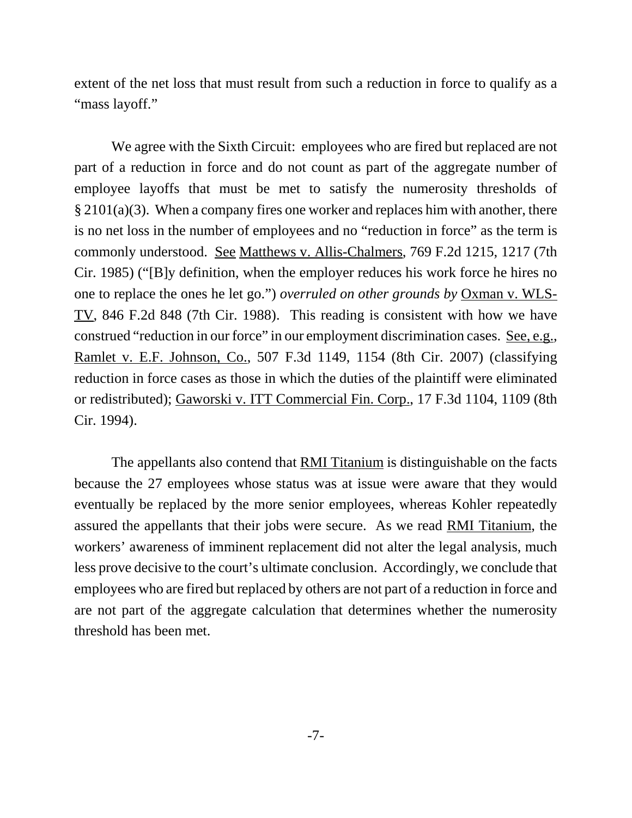extent of the net loss that must result from such a reduction in force to qualify as a "mass layoff."

We agree with the Sixth Circuit: employees who are fired but replaced are not part of a reduction in force and do not count as part of the aggregate number of employee layoffs that must be met to satisfy the numerosity thresholds of § 2101(a)(3). When a company fires one worker and replaces him with another, there is no net loss in the number of employees and no "reduction in force" as the term is commonly understood. See Matthews v. Allis-Chalmers, 769 F.2d 1215, 1217 (7th Cir. 1985) ("[B]y definition, when the employer reduces his work force he hires no one to replace the ones he let go.") *overruled on other grounds by* Oxman v. WLS-TV, 846 F.2d 848 (7th Cir. 1988). This reading is consistent with how we have construed "reduction in our force" in our employment discrimination cases. See, e.g., Ramlet v. E.F. Johnson, Co., 507 F.3d 1149, 1154 (8th Cir. 2007) (classifying reduction in force cases as those in which the duties of the plaintiff were eliminated or redistributed); Gaworski v. ITT Commercial Fin. Corp., 17 F.3d 1104, 1109 (8th Cir. 1994).

The appellants also contend that RMI Titanium is distinguishable on the facts because the 27 employees whose status was at issue were aware that they would eventually be replaced by the more senior employees, whereas Kohler repeatedly assured the appellants that their jobs were secure. As we read RMI Titanium, the workers' awareness of imminent replacement did not alter the legal analysis, much less prove decisive to the court's ultimate conclusion. Accordingly, we conclude that employees who are fired but replaced by others are not part of a reduction in force and are not part of the aggregate calculation that determines whether the numerosity threshold has been met.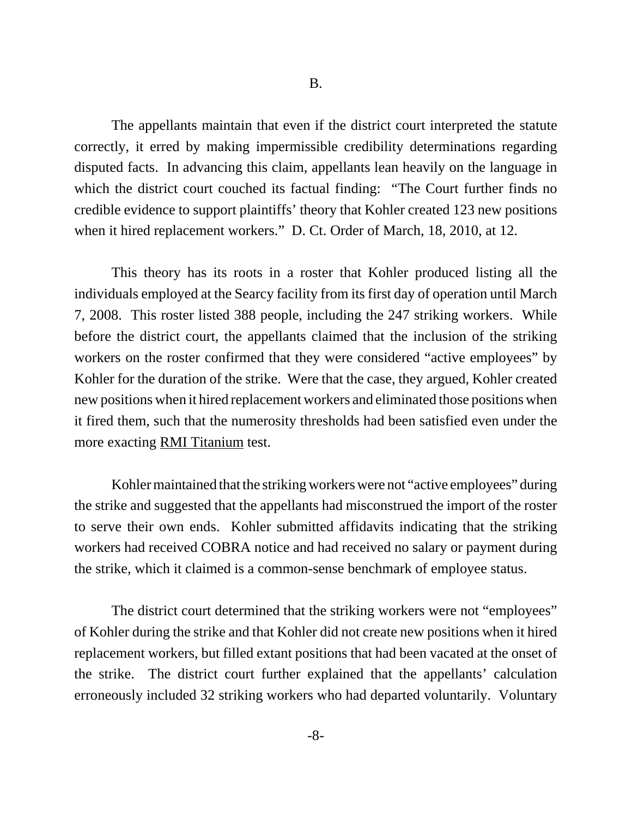The appellants maintain that even if the district court interpreted the statute correctly, it erred by making impermissible credibility determinations regarding disputed facts. In advancing this claim, appellants lean heavily on the language in which the district court couched its factual finding: "The Court further finds no credible evidence to support plaintiffs' theory that Kohler created 123 new positions when it hired replacement workers." D. Ct. Order of March, 18, 2010, at 12.

This theory has its roots in a roster that Kohler produced listing all the individuals employed at the Searcy facility from its first day of operation until March 7, 2008. This roster listed 388 people, including the 247 striking workers. While before the district court, the appellants claimed that the inclusion of the striking workers on the roster confirmed that they were considered "active employees" by Kohler for the duration of the strike. Were that the case, they argued, Kohler created new positions when it hired replacement workers and eliminated those positions when it fired them, such that the numerosity thresholds had been satisfied even under the more exacting RMI Titanium test.

Kohler maintained that the striking workers were not "active employees" during the strike and suggested that the appellants had misconstrued the import of the roster to serve their own ends. Kohler submitted affidavits indicating that the striking workers had received COBRA notice and had received no salary or payment during the strike, which it claimed is a common-sense benchmark of employee status.

The district court determined that the striking workers were not "employees" of Kohler during the strike and that Kohler did not create new positions when it hired replacement workers, but filled extant positions that had been vacated at the onset of the strike. The district court further explained that the appellants' calculation erroneously included 32 striking workers who had departed voluntarily. Voluntary